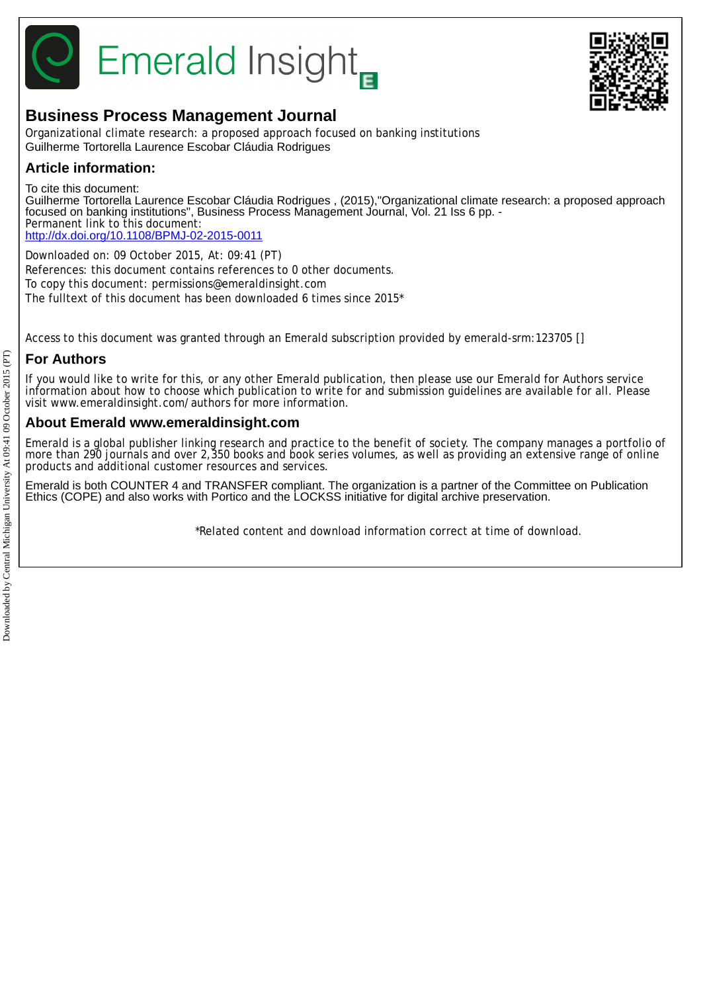

# **Emerald Insight**



# **Business Process Management Journal**

Organizational climate research: a proposed approach focused on banking institutions Guilherme Tortorella Laurence Escobar Cláudia Rodrigues

## **Article information:**

To cite this document:

Guilherme Tortorella Laurence Escobar Cláudia Rodrigues , (2015),"Organizational climate research: a proposed approach focused on banking institutions", Business Process Management Journal, Vol. 21 Iss 6 pp. - Permanent link to this document: <http://dx.doi.org/10.1108/BPMJ-02-2015-0011>

Downloaded on: 09 October 2015, At: 09:41 (PT) References: this document contains references to 0 other documents. To copy this document: permissions@emeraldinsight.com The fulltext of this document has been downloaded 6 times since 2015\*

Access to this document was granted through an Emerald subscription provided by emerald-srm:123705 []

## **For Authors**

If you would like to write for this, or any other Emerald publication, then please use our Emerald for Authors service information about how to choose which publication to write for and submission guidelines are available for all. Please visit www.emeraldinsight.com/authors for more information.

## **About Emerald www.emeraldinsight.com**

Emerald is a global publisher linking research and practice to the benefit of society. The company manages a portfolio of more than 290 journals and over 2,350 books and book series volumes, as well as providing an extensive range of online products and additional customer resources and services.

Emerald is both COUNTER 4 and TRANSFER compliant. The organization is a partner of the Committee on Publication Ethics (COPE) and also works with Portico and the LOCKSS initiative for digital archive preservation.

\*Related content and download information correct at time of download.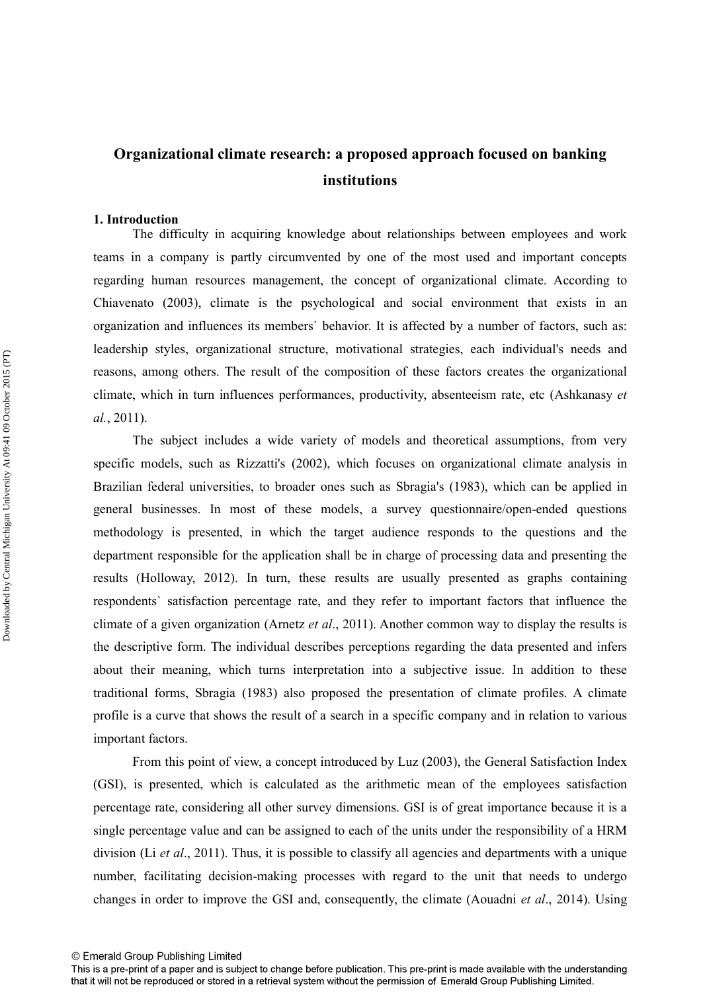# **Organizational climate research: a proposed approach focused on banking institutions**

## **1. Introduction**

 The difficulty in acquiring knowledge about relationships between employees and work teams in a company is partly circumvented by one of the most used and important concepts regarding human resources management, the concept of organizational climate. According to Chiavenato (2003), climate is the psychological and social environment that exists in an organization and influences its members` behavior. It is affected by a number of factors, such as: leadership styles, organizational structure, motivational strategies, each individual's needs and reasons, among others. The result of the composition of these factors creates the organizational climate, which in turn influences performances, productivity, absenteeism rate, etc (Ashkanasy *et al.*, 2011).

 The subject includes a wide variety of models and theoretical assumptions, from very specific models, such as Rizzatti's (2002), which focuses on organizational climate analysis in Brazilian federal universities, to broader ones such as Sbragia's (1983), which can be applied in general businesses. In most of these models, a survey questionnaire/open-ended questions methodology is presented, in which the target audience responds to the questions and the department responsible for the application shall be in charge of processing data and presenting the results (Holloway, 2012). In turn, these results are usually presented as graphs containing respondents` satisfaction percentage rate, and they refer to important factors that influence the climate of a given organization (Arnetz *et al*., 2011). Another common way to display the results is the descriptive form. The individual describes perceptions regarding the data presented and infers about their meaning, which turns interpretation into a subjective issue. In addition to these traditional forms, Sbragia (1983) also proposed the presentation of climate profiles. A climate profile is a curve that shows the result of a search in a specific company and in relation to various important factors.

 From this point of view, a concept introduced by Luz (2003), the General Satisfaction Index (GSI), is presented, which is calculated as the arithmetic mean of the employees satisfaction percentage rate, considering all other survey dimensions. GSI is of great importance because it is a single percentage value and can be assigned to each of the units under the responsibility of a HRM division (Li *et al*., 2011). Thus, it is possible to classify all agencies and departments with a unique number, facilitating decision-making processes with regard to the unit that needs to undergo changes in order to improve the GSI and, consequently, the climate (Aouadni *et al*., 2014). Using

This is a pre-print of a paper and is subject to change before publication. This pre-print is made available with the understanding that it will not be reproduced or stored in a retrieval system without the permission of Emerald Group Publishing Limited.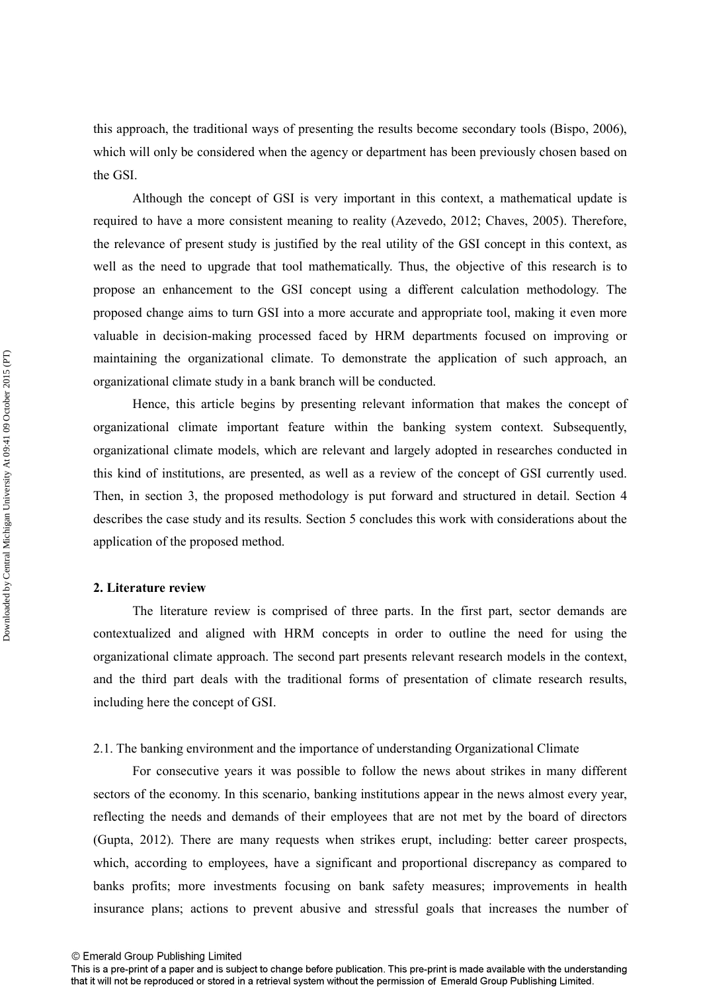this approach, the traditional ways of presenting the results become secondary tools (Bispo, 2006), which will only be considered when the agency or department has been previously chosen based on the GSI.

 Although the concept of GSI is very important in this context, a mathematical update is required to have a more consistent meaning to reality (Azevedo, 2012; Chaves, 2005). Therefore, the relevance of present study is justified by the real utility of the GSI concept in this context, as well as the need to upgrade that tool mathematically. Thus, the objective of this research is to propose an enhancement to the GSI concept using a different calculation methodology. The proposed change aims to turn GSI into a more accurate and appropriate tool, making it even more valuable in decision-making processed faced by HRM departments focused on improving or maintaining the organizational climate. To demonstrate the application of such approach, an organizational climate study in a bank branch will be conducted.

 Hence, this article begins by presenting relevant information that makes the concept of organizational climate important feature within the banking system context. Subsequently, organizational climate models, which are relevant and largely adopted in researches conducted in this kind of institutions, are presented, as well as a review of the concept of GSI currently used. Then, in section 3, the proposed methodology is put forward and structured in detail. Section 4 describes the case study and its results. Section 5 concludes this work with considerations about the application of the proposed method.

## **2. Literature review**

 The literature review is comprised of three parts. In the first part, sector demands are contextualized and aligned with HRM concepts in order to outline the need for using the organizational climate approach. The second part presents relevant research models in the context, and the third part deals with the traditional forms of presentation of climate research results, including here the concept of GSI.

## 2.1. The banking environment and the importance of understanding Organizational Climate

 For consecutive years it was possible to follow the news about strikes in many different sectors of the economy. In this scenario, banking institutions appear in the news almost every year, reflecting the needs and demands of their employees that are not met by the board of directors (Gupta, 2012). There are many requests when strikes erupt, including: better career prospects, which, according to employees, have a significant and proportional discrepancy as compared to banks profits; more investments focusing on bank safety measures; improvements in health insurance plans; actions to prevent abusive and stressful goals that increases the number of

This is a pre-print of a paper and is subject to change before publication. This pre-print is made available with the understanding that it will not be reproduced or stored in a retrieval system without the permission of Emerald Group Publishing Limited.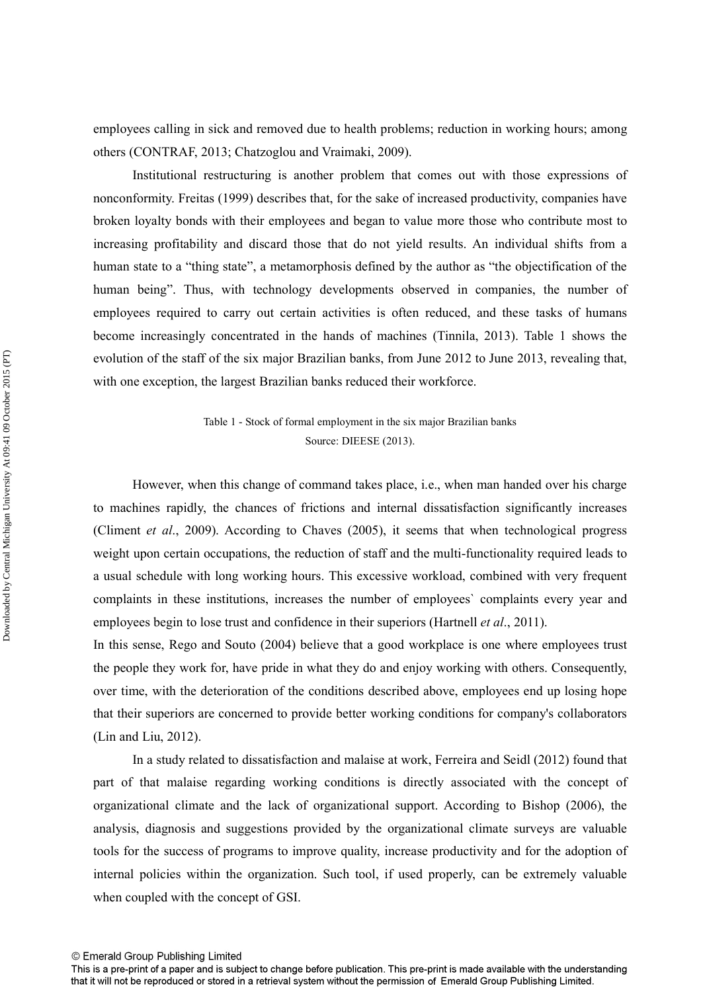employees calling in sick and removed due to health problems; reduction in working hours; among others (CONTRAF, 2013; Chatzoglou and Vraimaki, 2009).

Institutional restructuring is another problem that comes out with those expressions of nonconformity. Freitas (1999) describes that, for the sake of increased productivity, companies have broken loyalty bonds with their employees and began to value more those who contribute most to increasing profitability and discard those that do not yield results. An individual shifts from a human state to a "thing state", a metamorphosis defined by the author as "the objectification of the human being". Thus, with technology developments observed in companies, the number of employees required to carry out certain activities is often reduced, and these tasks of humans become increasingly concentrated in the hands of machines (Tinnila, 2013). Table 1 shows the evolution of the staff of the six major Brazilian banks, from June 2012 to June 2013, revealing that, with one exception, the largest Brazilian banks reduced their workforce.

> Table 1 - Stock of formal employment in the six major Brazilian banks Source: DIEESE (2013).

 However, when this change of command takes place, i.e., when man handed over his charge to machines rapidly, the chances of frictions and internal dissatisfaction significantly increases (Climent *et al*., 2009). According to Chaves (2005), it seems that when technological progress weight upon certain occupations, the reduction of staff and the multi-functionality required leads to a usual schedule with long working hours. This excessive workload, combined with very frequent complaints in these institutions, increases the number of employees` complaints every year and employees begin to lose trust and confidence in their superiors (Hartnell *et al*., 2011).

In this sense, Rego and Souto (2004) believe that a good workplace is one where employees trust the people they work for, have pride in what they do and enjoy working with others. Consequently, over time, with the deterioration of the conditions described above, employees end up losing hope that their superiors are concerned to provide better working conditions for company's collaborators (Lin and Liu, 2012).

 In a study related to dissatisfaction and malaise at work, Ferreira and Seidl (2012) found that part of that malaise regarding working conditions is directly associated with the concept of organizational climate and the lack of organizational support. According to Bishop (2006), the analysis, diagnosis and suggestions provided by the organizational climate surveys are valuable tools for the success of programs to improve quality, increase productivity and for the adoption of internal policies within the organization. Such tool, if used properly, can be extremely valuable when coupled with the concept of GSI.

This is a pre-print of a paper and is subject to change before publication. This pre-print is made available with the understanding that it will not be reproduced or stored in a retrieval system without the permission of Emerald Group Publishing Limited.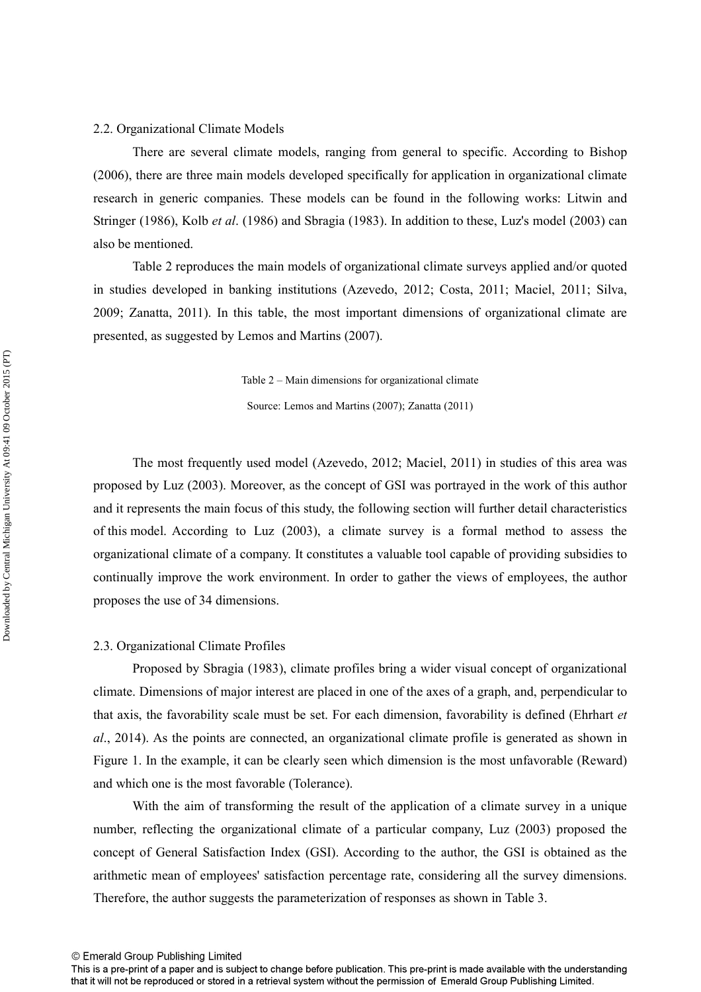## 2.2. Organizational Climate Models

 There are several climate models, ranging from general to specific. According to Bishop (2006), there are three main models developed specifically for application in organizational climate research in generic companies. These models can be found in the following works: Litwin and Stringer (1986), Kolb *et al*. (1986) and Sbragia (1983). In addition to these, Luz's model (2003) can also be mentioned.

 Table 2 reproduces the main models of organizational climate surveys applied and/or quoted in studies developed in banking institutions (Azevedo, 2012; Costa, 2011; Maciel, 2011; Silva, 2009; Zanatta, 2011). In this table, the most important dimensions of organizational climate are presented, as suggested by Lemos and Martins (2007).

Table 2 – Main dimensions for organizational climate

Source: Lemos and Martins (2007); Zanatta (2011)

 The most frequently used model (Azevedo, 2012; Maciel, 2011) in studies of this area was proposed by Luz (2003). Moreover, as the concept of GSI was portrayed in the work of this author and it represents the main focus of this study, the following section will further detail characteristics of this model. According to Luz (2003), a climate survey is a formal method to assess the organizational climate of a company. It constitutes a valuable tool capable of providing subsidies to continually improve the work environment. In order to gather the views of employees, the author proposes the use of 34 dimensions.

#### 2.3. Organizational Climate Profiles

 Proposed by Sbragia (1983), climate profiles bring a wider visual concept of organizational climate. Dimensions of major interest are placed in one of the axes of a graph, and, perpendicular to that axis, the favorability scale must be set. For each dimension, favorability is defined (Ehrhart *et al*., 2014). As the points are connected, an organizational climate profile is generated as shown in Figure 1. In the example, it can be clearly seen which dimension is the most unfavorable (Reward) and which one is the most favorable (Tolerance).

 With the aim of transforming the result of the application of a climate survey in a unique number, reflecting the organizational climate of a particular company, Luz (2003) proposed the concept of General Satisfaction Index (GSI). According to the author, the GSI is obtained as the arithmetic mean of employees' satisfaction percentage rate, considering all the survey dimensions. Therefore, the author suggests the parameterization of responses as shown in Table 3.

This is a pre-print of a paper and is subject to change before publication. This pre-print is made available with the understanding that it will not be reproduced or stored in a retrieval system without the permission of Emerald Group Publishing Limited.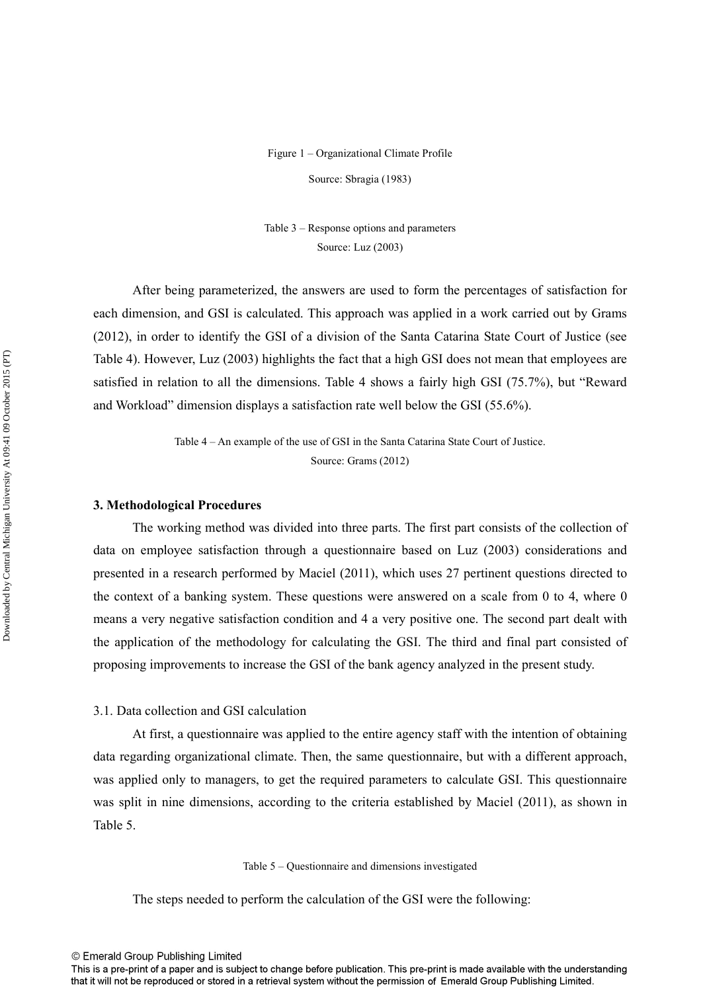## Figure 1 – Organizational Climate Profile Source: Sbragia (1983)

Table 3 – Response options and parameters Source: Luz (2003)

 After being parameterized, the answers are used to form the percentages of satisfaction for each dimension, and GSI is calculated. This approach was applied in a work carried out by Grams (2012), in order to identify the GSI of a division of the Santa Catarina State Court of Justice (see Table 4). However, Luz (2003) highlights the fact that a high GSI does not mean that employees are satisfied in relation to all the dimensions. Table 4 shows a fairly high GSI (75.7%), but "Reward and Workload" dimension displays a satisfaction rate well below the GSI (55.6%).

> Table 4 – An example of the use of GSI in the Santa Catarina State Court of Justice. Source: Grams (2012)

## **3. Methodological Procedures**

 The working method was divided into three parts. The first part consists of the collection of data on employee satisfaction through a questionnaire based on Luz (2003) considerations and presented in a research performed by Maciel (2011), which uses 27 pertinent questions directed to the context of a banking system. These questions were answered on a scale from 0 to 4, where 0 means a very negative satisfaction condition and 4 a very positive one. The second part dealt with the application of the methodology for calculating the GSI. The third and final part consisted of proposing improvements to increase the GSI of the bank agency analyzed in the present study.

## 3.1. Data collection and GSI calculation

 At first, a questionnaire was applied to the entire agency staff with the intention of obtaining data regarding organizational climate. Then, the same questionnaire, but with a different approach, was applied only to managers, to get the required parameters to calculate GSI. This questionnaire was split in nine dimensions, according to the criteria established by Maciel (2011), as shown in Table 5.

Table 5 – Questionnaire and dimensions investigated

The steps needed to perform the calculation of the GSI were the following:

© Emerald Group Publishing Limited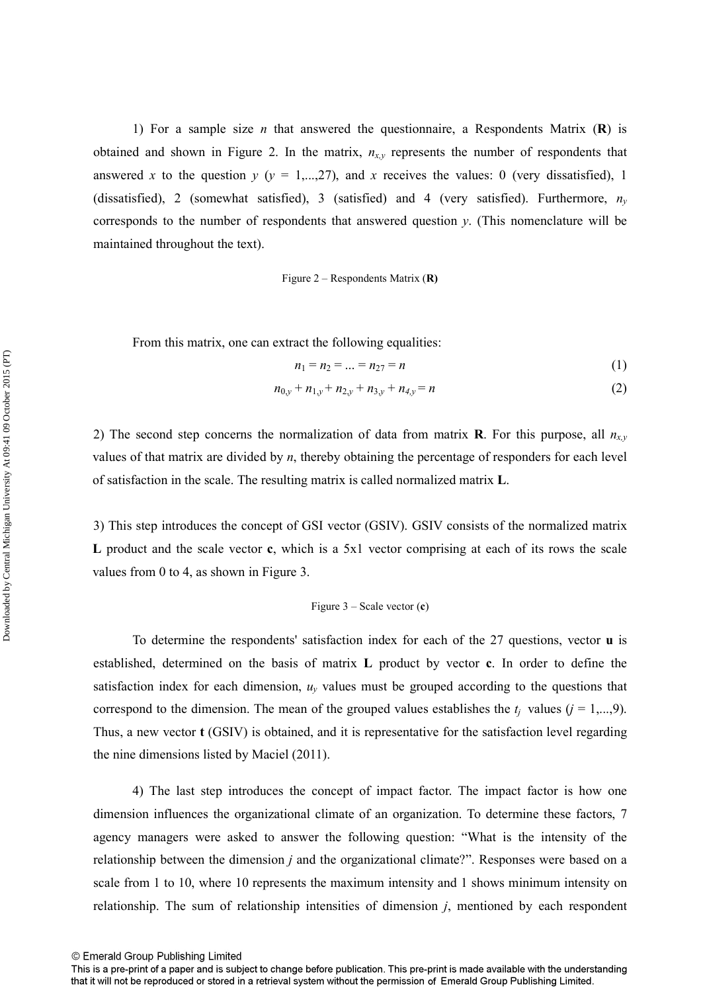1) For a sample size *n* that answered the questionnaire, a Respondents Matrix (**R**) is obtained and shown in Figure 2. In the matrix,  $n_{x,y}$  represents the number of respondents that answered *x* to the question  $y$  ( $y = 1,...,27$ ), and *x* receives the values: 0 (very dissatisfied), 1 (dissatisfied), 2 (somewhat satisfied), 3 (satisfied) and 4 (very satisfied). Furthermore,  $n<sub>v</sub>$ corresponds to the number of respondents that answered question *y*. (This nomenclature will be maintained throughout the text).

Figure 2 – Respondents Matrix (**R)**

From this matrix, one can extract the following equalities:

$$
n_1 = n_2 = \dots = n_{27} = n \tag{1}
$$

$$
n_{0,y} + n_{1,y} + n_{2,y} + n_{3,y} + n_{4,y} = n \tag{2}
$$

2) The second step concerns the normalization of data from matrix **R**. For this purpose, all  $n_x$ values of that matrix are divided by *n*, thereby obtaining the percentage of responders for each level of satisfaction in the scale. The resulting matrix is called normalized matrix **L**.

 3) This step introduces the concept of GSI vector (GSIV). GSIV consists of the normalized matrix **L** product and the scale vector **c**, which is a 5x1 vector comprising at each of its rows the scale values from 0 to 4, as shown in Figure 3.

#### Figure 3 – Scale vector (**c**)

 To determine the respondents' satisfaction index for each of the 27 questions, vector **u** is established, determined on the basis of matrix **L** product by vector **c**. In order to define the satisfaction index for each dimension,  $u<sub>y</sub>$  values must be grouped according to the questions that correspond to the dimension. The mean of the grouped values establishes the  $t_i$  values ( $j = 1,...,9$ ). Thus, a new vector **t** (GSIV) is obtained, and it is representative for the satisfaction level regarding the nine dimensions listed by Maciel (2011).

 4) The last step introduces the concept of impact factor. The impact factor is how one dimension influences the organizational climate of an organization. To determine these factors, 7 agency managers were asked to answer the following question: "What is the intensity of the relationship between the dimension *j* and the organizational climate?". Responses were based on a scale from 1 to 10, where 10 represents the maximum intensity and 1 shows minimum intensity on relationship. The sum of relationship intensities of dimension *j*, mentioned by each respondent

© Emerald Group Publishing Limited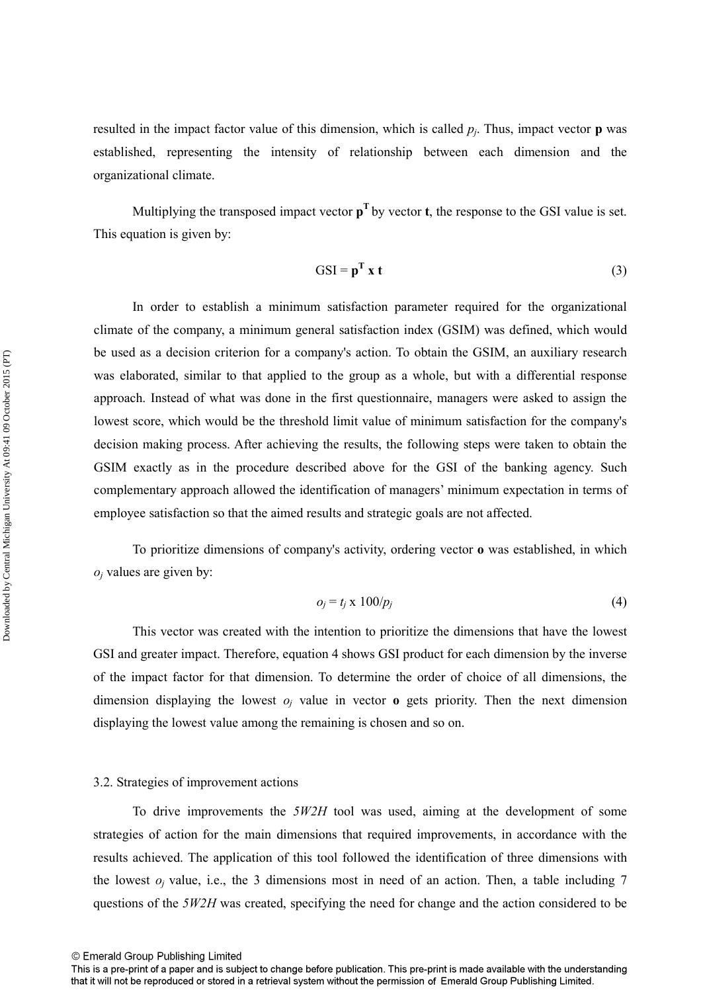resulted in the impact factor value of this dimension, which is called *p<sup>j</sup>* . Thus, impact vector **p** was established, representing the intensity of relationship between each dimension and the organizational climate.

Multiplying the transposed impact vector  $p<sup>T</sup>$  by vector **t**, the response to the GSI value is set. This equation is given by:

$$
GSI = p^{T} x t
$$
 (3)

 In order to establish a minimum satisfaction parameter required for the organizational climate of the company, a minimum general satisfaction index (GSIM) was defined, which would be used as a decision criterion for a company's action. To obtain the GSIM, an auxiliary research was elaborated, similar to that applied to the group as a whole, but with a differential response approach. Instead of what was done in the first questionnaire, managers were asked to assign the lowest score, which would be the threshold limit value of minimum satisfaction for the company's decision making process. After achieving the results, the following steps were taken to obtain the GSIM exactly as in the procedure described above for the GSI of the banking agency. Such complementary approach allowed the identification of managers' minimum expectation in terms of employee satisfaction so that the aimed results and strategic goals are not affected.

 To prioritize dimensions of company's activity, ordering vector **o** was established, in which  $o_j$  values are given by:

$$
o_j = t_j \times 100/p_j \tag{4}
$$

 This vector was created with the intention to prioritize the dimensions that have the lowest GSI and greater impact. Therefore, equation 4 shows GSI product for each dimension by the inverse of the impact factor for that dimension. To determine the order of choice of all dimensions, the dimension displaying the lowest  $o_j$  value in vector **o** gets priority. Then the next dimension displaying the lowest value among the remaining is chosen and so on.

## 3.2. Strategies of improvement actions

 To drive improvements the *5W2H* tool was used, aiming at the development of some strategies of action for the main dimensions that required improvements, in accordance with the results achieved. The application of this tool followed the identification of three dimensions with the lowest  $o_j$  value, i.e., the 3 dimensions most in need of an action. Then, a table including 7 questions of the *5W2H* was created, specifying the need for change and the action considered to be

This is a pre-print of a paper and is subject to change before publication. This pre-print is made available with the understanding that it will not be reproduced or stored in a retrieval system without the permission of Emerald Group Publishing Limited.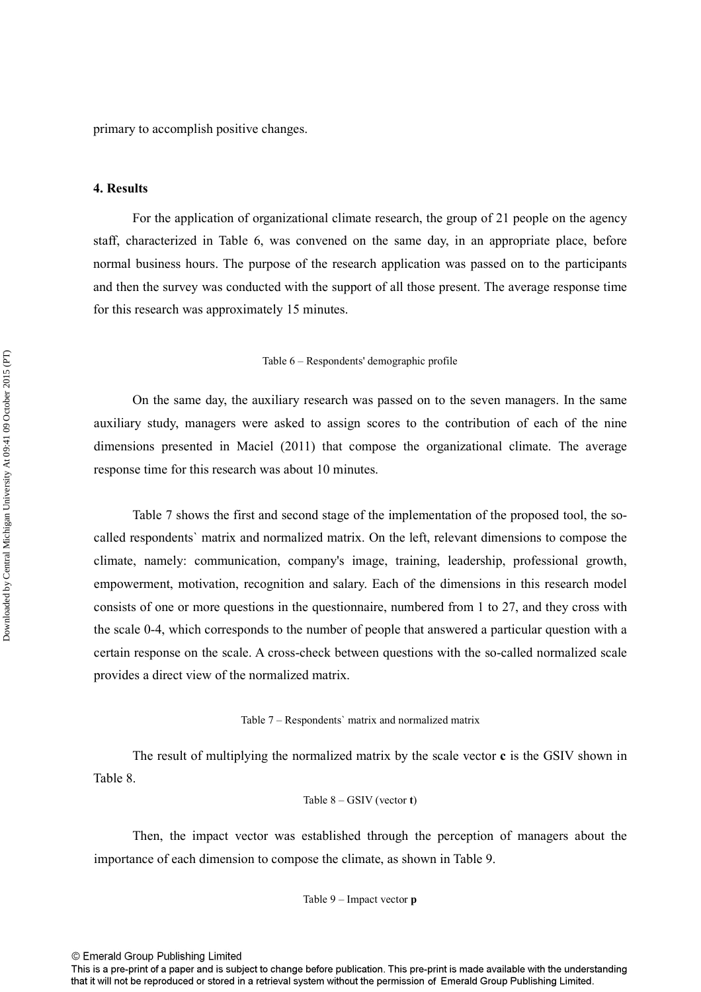primary to accomplish positive changes.

## **4. Results**

For the application of organizational climate research, the group of 21 people on the agency staff, characterized in Table 6, was convened on the same day, in an appropriate place, before normal business hours. The purpose of the research application was passed on to the participants and then the survey was conducted with the support of all those present. The average response time for this research was approximately 15 minutes.

Table 6 – Respondents' demographic profile

 On the same day, the auxiliary research was passed on to the seven managers. In the same auxiliary study, managers were asked to assign scores to the contribution of each of the nine dimensions presented in Maciel (2011) that compose the organizational climate. The average response time for this research was about 10 minutes.

 Table 7 shows the first and second stage of the implementation of the proposed tool, the socalled respondents` matrix and normalized matrix. On the left, relevant dimensions to compose the climate, namely: communication, company's image, training, leadership, professional growth, empowerment, motivation, recognition and salary. Each of the dimensions in this research model consists of one or more questions in the questionnaire, numbered from 1 to 27, and they cross with the scale 0-4, which corresponds to the number of people that answered a particular question with a certain response on the scale. A cross-check between questions with the so-called normalized scale provides a direct view of the normalized matrix.

Table 7 – Respondents` matrix and normalized matrix

 The result of multiplying the normalized matrix by the scale vector **c** is the GSIV shown in Table 8.

Table 
$$
8 - GSIV
$$
 (vector **t**)

 Then, the impact vector was established through the perception of managers about the importance of each dimension to compose the climate, as shown in Table 9.

Table 9 – Impact vector **p** 

<sup>©</sup> Emerald Group Publishing Limited

This is a pre-print of a paper and is subject to change before publication. This pre-print is made available with the understanding that it will not be reproduced or stored in a retrieval system without the permission of Emerald Group Publishing Limited.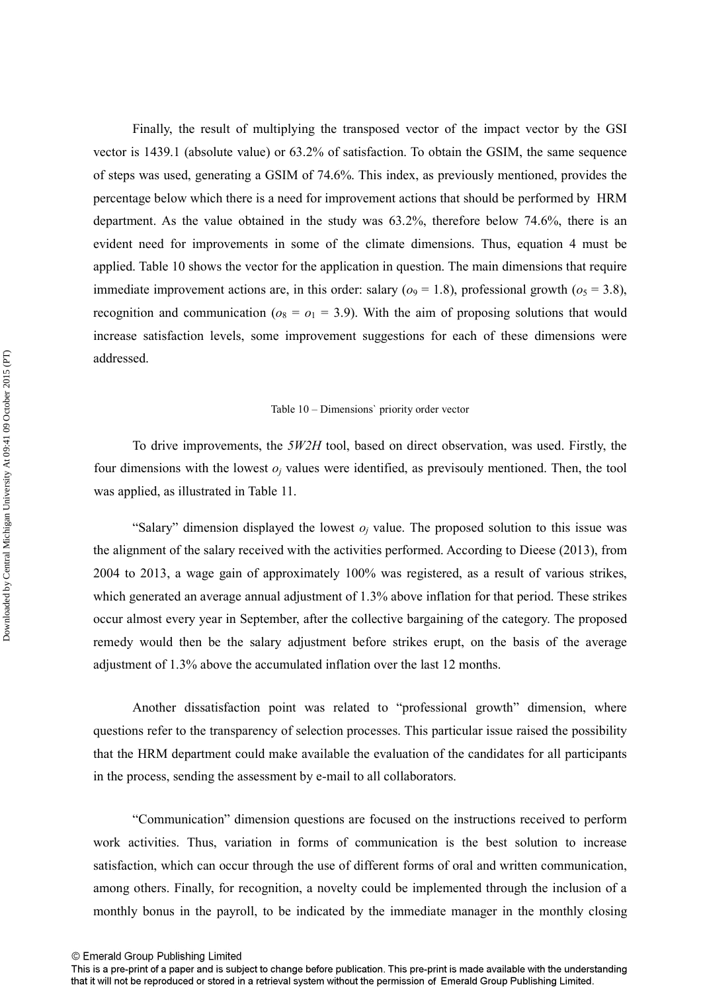Finally, the result of multiplying the transposed vector of the impact vector by the GSI vector is 1439.1 (absolute value) or 63.2% of satisfaction. To obtain the GSIM, the same sequence of steps was used, generating a GSIM of 74.6%. This index, as previously mentioned, provides the percentage below which there is a need for improvement actions that should be performed by HRM department. As the value obtained in the study was 63.2%, therefore below 74.6%, there is an evident need for improvements in some of the climate dimensions. Thus, equation 4 must be applied. Table 10 shows the vector for the application in question. The main dimensions that require immediate improvement actions are, in this order: salary ( $o_9 = 1.8$ ), professional growth ( $o_5 = 3.8$ ), recognition and communication ( $o_8 = o_1 = 3.9$ ). With the aim of proposing solutions that would increase satisfaction levels, some improvement suggestions for each of these dimensions were addressed.

#### Table 10 – Dimensions` priority order vector

 To drive improvements, the *5W2H* tool, based on direct observation, was used. Firstly, the four dimensions with the lowest  $o_j$  values were identified, as previsouly mentioned. Then, the tool was applied, as illustrated in Table 11.

"Salary" dimension displayed the lowest  $o_j$  value. The proposed solution to this issue was the alignment of the salary received with the activities performed. According to Dieese (2013), from 2004 to 2013, a wage gain of approximately 100% was registered, as a result of various strikes, which generated an average annual adjustment of 1.3% above inflation for that period. These strikes occur almost every year in September, after the collective bargaining of the category. The proposed remedy would then be the salary adjustment before strikes erupt, on the basis of the average adjustment of 1.3% above the accumulated inflation over the last 12 months.

 Another dissatisfaction point was related to "professional growth" dimension, where questions refer to the transparency of selection processes. This particular issue raised the possibility that the HRM department could make available the evaluation of the candidates for all participants in the process, sending the assessment by e-mail to all collaborators.

 "Communication" dimension questions are focused on the instructions received to perform work activities. Thus, variation in forms of communication is the best solution to increase satisfaction, which can occur through the use of different forms of oral and written communication, among others. Finally, for recognition, a novelty could be implemented through the inclusion of a monthly bonus in the payroll, to be indicated by the immediate manager in the monthly closing

This is a pre-print of a paper and is subject to change before publication. This pre-print is made available with the understanding that it will not be reproduced or stored in a retrieval system without the permission of Emerald Group Publishing Limited.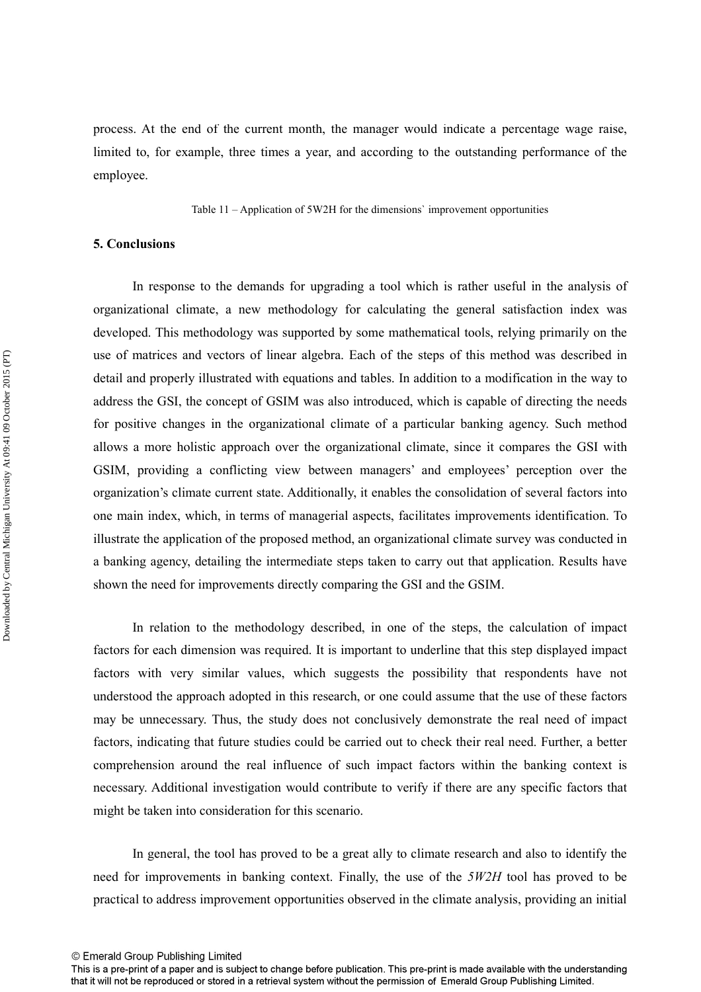process. At the end of the current month, the manager would indicate a percentage wage raise, limited to, for example, three times a year, and according to the outstanding performance of the employee.

Table 11 – Application of 5W2H for the dimensions` improvement opportunities

## **5. Conclusions**

In response to the demands for upgrading a tool which is rather useful in the analysis of organizational climate, a new methodology for calculating the general satisfaction index was developed. This methodology was supported by some mathematical tools, relying primarily on the use of matrices and vectors of linear algebra. Each of the steps of this method was described in detail and properly illustrated with equations and tables. In addition to a modification in the way to address the GSI, the concept of GSIM was also introduced, which is capable of directing the needs for positive changes in the organizational climate of a particular banking agency. Such method allows a more holistic approach over the organizational climate, since it compares the GSI with GSIM, providing a conflicting view between managers' and employees' perception over the organization's climate current state. Additionally, it enables the consolidation of several factors into one main index, which, in terms of managerial aspects, facilitates improvements identification. To illustrate the application of the proposed method, an organizational climate survey was conducted in a banking agency, detailing the intermediate steps taken to carry out that application. Results have shown the need for improvements directly comparing the GSI and the GSIM.

In relation to the methodology described, in one of the steps, the calculation of impact factors for each dimension was required. It is important to underline that this step displayed impact factors with very similar values, which suggests the possibility that respondents have not understood the approach adopted in this research, or one could assume that the use of these factors may be unnecessary. Thus, the study does not conclusively demonstrate the real need of impact factors, indicating that future studies could be carried out to check their real need. Further, a better comprehension around the real influence of such impact factors within the banking context is necessary. Additional investigation would contribute to verify if there are any specific factors that might be taken into consideration for this scenario.

In general, the tool has proved to be a great ally to climate research and also to identify the need for improvements in banking context. Finally, the use of the *5W2H* tool has proved to be practical to address improvement opportunities observed in the climate analysis, providing an initial

This is a pre-print of a paper and is subject to change before publication. This pre-print is made available with the understanding that it will not be reproduced or stored in a retrieval system without the permission of Emerald Group Publishing Limited.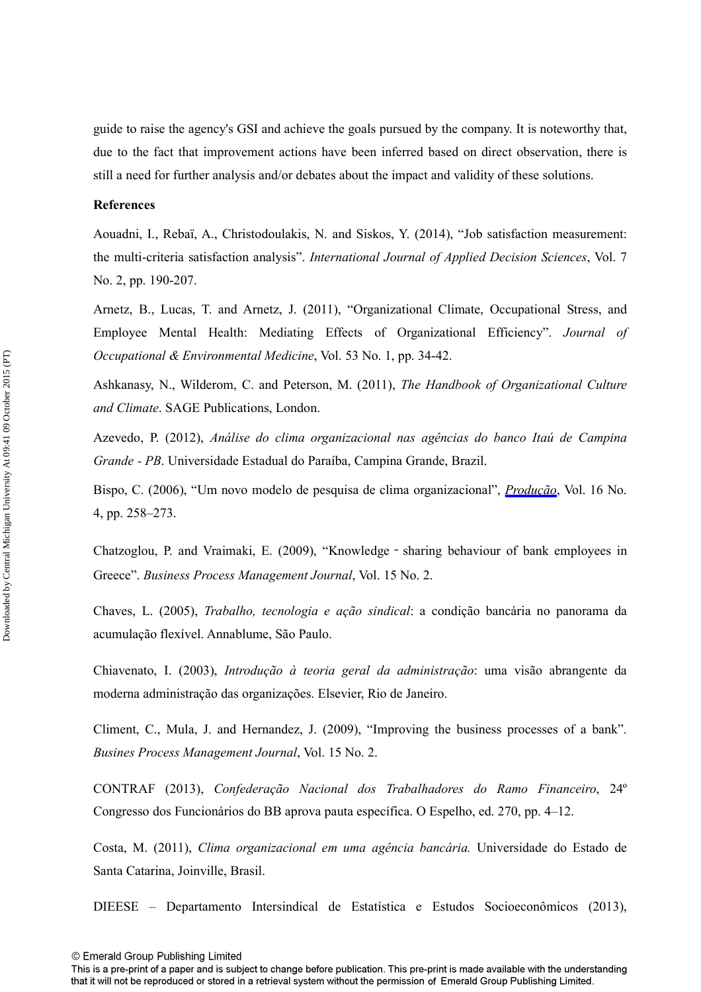guide to raise the agency's GSI and achieve the goals pursued by the company. It is noteworthy that, due to the fact that improvement actions have been inferred based on direct observation, there is still a need for further analysis and/or debates about the impact and validity of these solutions.

## **References**

Aouadni, I., Rebaï, A., Christodoulakis, N. and Siskos, Y. (2014), "Job satisfaction measurement: the multi-criteria satisfaction analysis". *International Journal of Applied Decision Sciences*, Vol. 7 No. 2, pp. 190-207.

Arnetz, B., Lucas, T. and Arnetz, J. (2011), "Organizational Climate, Occupational Stress, and Employee Mental Health: Mediating Effects of Organizational Efficiency". *Journal of Occupational & Environmental Medicine*, Vol. 53 No. 1, pp. 34-42.

Ashkanasy, N., Wilderom, C. and Peterson, M. (2011), *The Handbook of Organizational Culture and Climate*. SAGE Publications, London.

Azevedo, P. (2012), *Análise do clima organizacional nas agências do banco Itaú de Campina Grande - PB*. Universidade Estadual do Paraíba, Campina Grande, Brazil.

Bispo, C. (2006), "Um novo modelo de pesquisa de clima organizacional", *[Produção](http://www.emeraldinsight.com/action/showLinks?crossref=10.1590%2FS0103-65132006000200007)*, Vol. 16 No. 4, pp. 258–273.

Chatzoglou, P. and Vraimaki, E. (2009), "Knowledge‐sharing behaviour of bank employees in Greece". *Business Process Management Journal*, Vol. 15 No. 2.

Chaves, L. (2005), *Trabalho, tecnologia e ação sindical*: a condição bancária no panorama da acumulação flexível. Annablume, São Paulo.

Chiavenato, I. (2003), *Introdução à teoria geral da administração*: uma visão abrangente da moderna administração das organizações. Elsevier, Rio de Janeiro.

Climent, C., Mula, J. and Hernandez, J. (2009), "Improving the business processes of a bank". *Busines Process Management Journal*, Vol. 15 No. 2.

CONTRAF (2013), *Confederação Nacional dos Trabalhadores do Ramo Financeiro*, 24º Congresso dos Funcionários do BB aprova pauta específica. O Espelho, ed. 270, pp. 4–12.

Costa, M. (2011), *Clima organizacional em uma agência bancária.* Universidade do Estado de Santa Catarina, Joinville, Brasil.

DIEESE – Departamento Intersindical de Estatística e Estudos Socioeconômicos (2013),

This is a pre-print of a paper and is subject to change before publication. This pre-print is made available with the understanding that it will not be reproduced or stored in a retrieval system without the permission of Emerald Group Publishing Limited.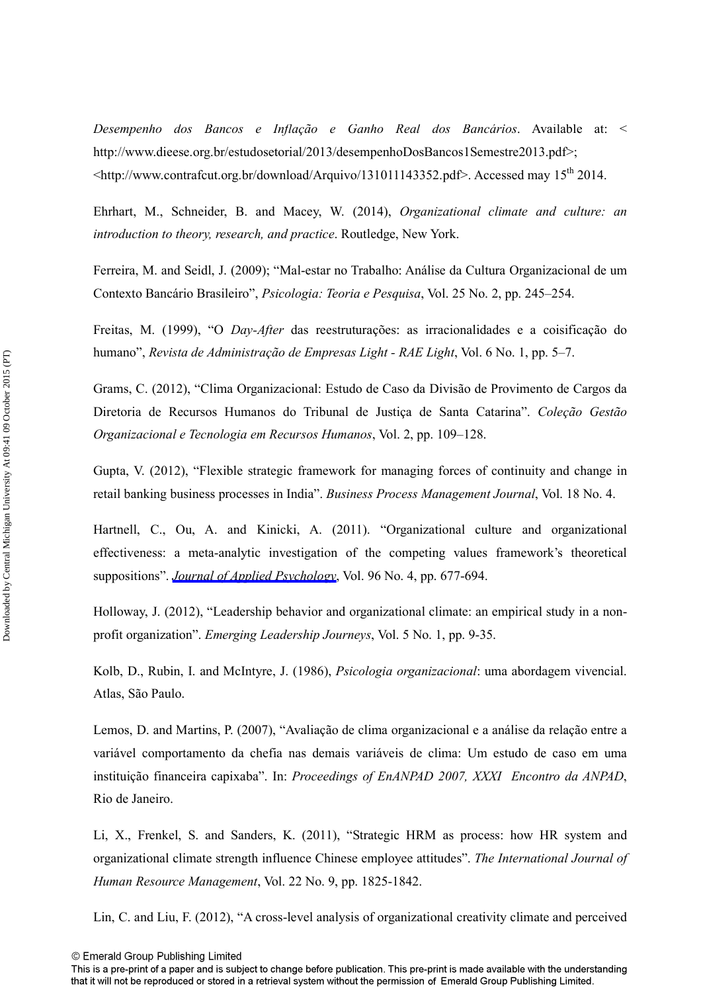*Desempenho dos Bancos e Inflação e Ganho Real dos Bancários*. Available at: < http://www.dieese.org.br/estudosetorial/2013/desempenhoDosBancos1Semestre2013.pdf>;  $\lt$ http://www.contrafcut.org.br/download/Arquivo/131011143352.pdf>. Accessed may 15<sup>th</sup> 2014.

Ehrhart, M., Schneider, B. and Macey, W. (2014), *Organizational climate and culture: an introduction to theory, research, and practice*. Routledge, New York.

Ferreira, M. and Seidl, J. (2009); "Mal-estar no Trabalho: Análise da Cultura Organizacional de um Contexto Bancário Brasileiro", *Psicologia: Teoria e Pesquisa*, Vol. 25 No. 2, pp. 245–254.

Freitas, M. (1999), "O *Day-After* das reestruturações: as irracionalidades e a coisificação do humano", *Revista de Administração de Empresas Light - RAE Light*, Vol. 6 No. 1, pp. 5–7.

Grams, C. (2012), "Clima Organizacional: Estudo de Caso da Divisão de Provimento de Cargos da Diretoria de Recursos Humanos do Tribunal de Justiça de Santa Catarina". *Coleção Gestão Organizacional e Tecnologia em Recursos Humanos*, Vol. 2, pp. 109–128.

Gupta, V. (2012), "Flexible strategic framework for managing forces of continuity and change in retail banking business processes in India". *Business Process Management Journal*, Vol. 18 No. 4.

Hartnell, C., Ou, A. and Kinicki, A. (2011). "Organizational culture and organizational effectiveness: a meta-analytic investigation of the competing values framework's theoretical suppositions". *[Journal of Applied Psychology](http://www.emeraldinsight.com/action/showLinks?crossref=10.1037%2Fa0021987&isi=000292578400002)*, Vol. 96 No. 4, pp. 677-694.

Holloway, J. (2012), "Leadership behavior and organizational climate: an empirical study in a nonprofit organization". *Emerging Leadership Journeys*, Vol. 5 No. 1, pp. 9-35.

Kolb, D., Rubin, I. and McIntyre, J. (1986), *Psicologia organizacional*: uma abordagem vivencial. Atlas, São Paulo.

Lemos, D. and Martins, P. (2007), "Avaliação de clima organizacional e a análise da relação entre a variável comportamento da chefia nas demais variáveis de clima: Um estudo de caso em uma instituição financeira capixaba". In: *Proceedings of EnANPAD 2007, XXXI Encontro da ANPAD*, Rio de Janeiro.

Li, X., Frenkel, S. and Sanders, K. (2011), "Strategic HRM as process: how HR system and organizational climate strength influence Chinese employee attitudes". *The International Journal of Human Resource Management*, Vol. 22 No. 9, pp. 1825-1842.

Lin, C. and Liu, F. (2012), "A cross-level analysis of organizational creativity climate and perceived

© Emerald Group Publishing Limited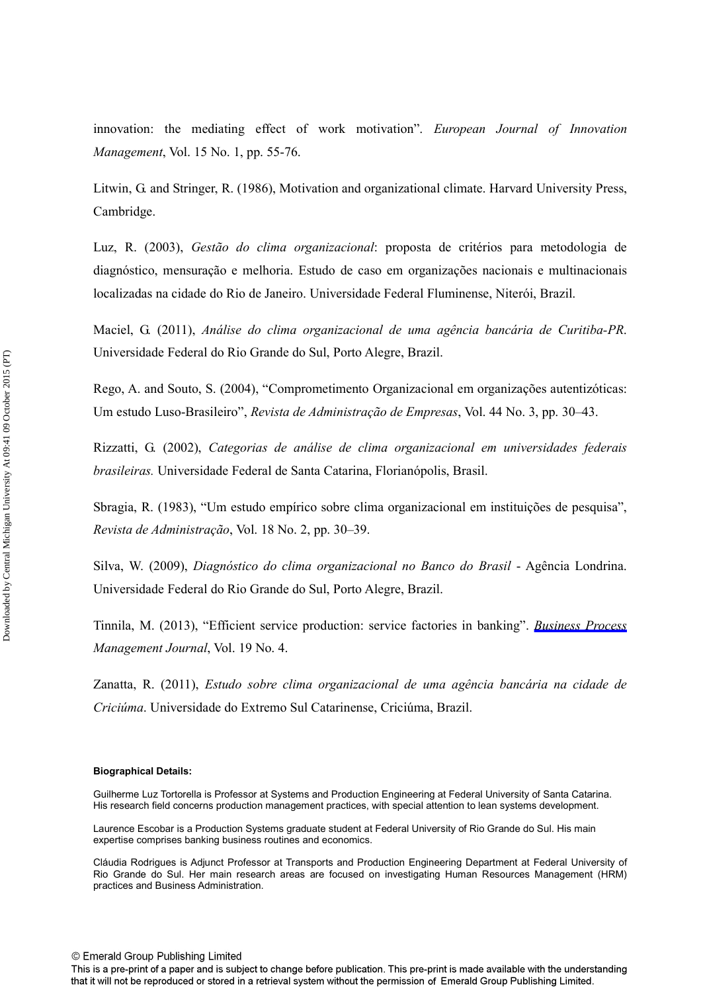innovation: the mediating effect of work motivation". *European Journal of Innovation Management*, Vol. 15 No. 1, pp. 55-76.

Litwin, G. and Stringer, R. (1986), Motivation and organizational climate. Harvard University Press, Cambridge.

Luz, R. (2003), *Gestão do clima organizacional*: proposta de critérios para metodologia de diagnóstico, mensuração e melhoria. Estudo de caso em organizações nacionais e multinacionais localizadas na cidade do Rio de Janeiro. Universidade Federal Fluminense, Niterói, Brazil.

Maciel, G. (2011), *Análise do clima organizacional de uma agência bancária de Curitiba-PR*. Universidade Federal do Rio Grande do Sul, Porto Alegre, Brazil.

Rego, A. and Souto, S. (2004), "Comprometimento Organizacional em organizações autentizóticas: Um estudo Luso-Brasileiro", *Revista de Administração de Empresas*, Vol. 44 No. 3, pp. 30–43.

Rizzatti, G. (2002), *Categorias de análise de clima organizacional em universidades federais brasileiras.* Universidade Federal de Santa Catarina, Florianópolis, Brasil.

Sbragia, R. (1983), "Um estudo empírico sobre clima organizacional em instituições de pesquisa", *Revista de Administração*, Vol. 18 No. 2, pp. 30–39.

Silva, W. (2009), *Diagnóstico do clima organizacional no Banco do Brasil* - Agência Londrina. Universidade Federal do Rio Grande do Sul, Porto Alegre, Brazil.

Tinnila, M. (2013), "Efficient service production: service factories in banking". *[Business Process](http://www.emeraldinsight.com/action/showLinks?system=10.1108%2FBPMJ-Mar-2012-0026) Management Journal*, Vol. 19 No. 4.

Zanatta, R. (2011), *Estudo sobre clima organizacional de uma agência bancária na cidade de Criciúma*. Universidade do Extremo Sul Catarinense, Criciúma, Brazil.

#### **Biographical Details:**

Guilherme Luz Tortorella is Professor at Systems and Production Engineering at Federal University of Santa Catarina. His research field concerns production management practices, with special attention to lean systems development.

Laurence Escobar is a Production Systems graduate student at Federal University of Rio Grande do Sul. His main expertise comprises banking business routines and economics.

Cláudia Rodrigues is Adjunct Professor at Transports and Production Engineering Department at Federal University of Rio Grande do Sul. Her main research areas are focused on investigating Human Resources Management (HRM) practices and Business Administration.

This is a pre-print of a paper and is subject to change before publication. This pre-print is made available with the understanding that it will not be reproduced or stored in a retrieval system without the permission of Emerald Group Publishing Limited.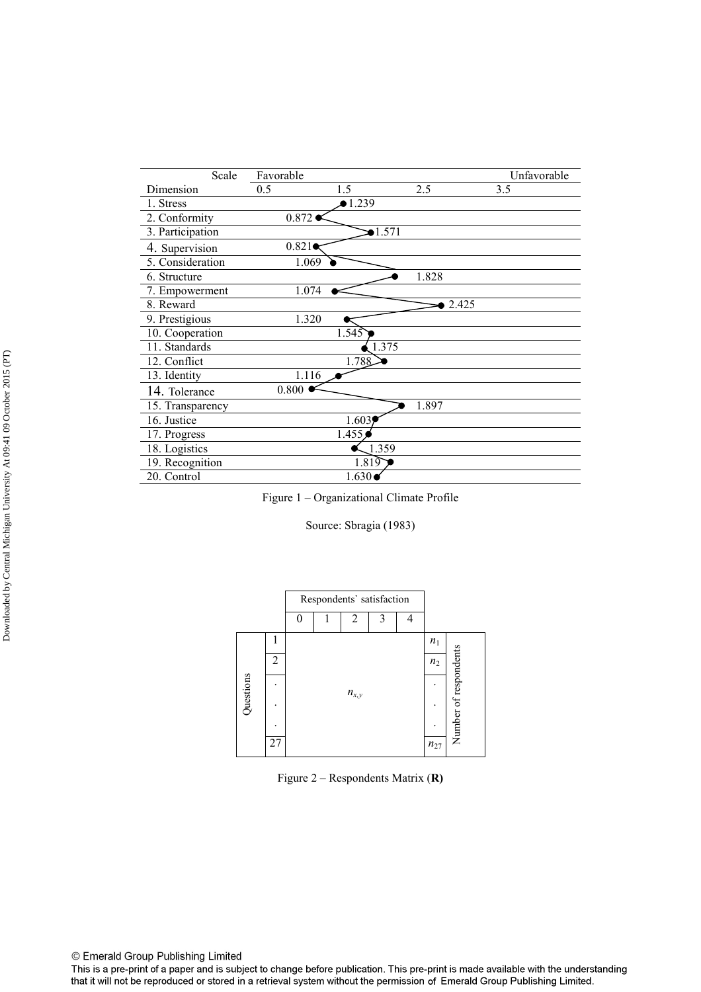| Scale            | Favorable |                 |       | Unfavorable |
|------------------|-----------|-----------------|-------|-------------|
| Dimension        | 0.5       | 1.5             | 2.5   | 3.5         |
| 1. Stress        |           | $\bullet$ 1.239 |       |             |
| 2. Conformity    | 0.872     |                 |       |             |
| 3. Participation |           | 1.571           |       |             |
| 4. Supervision   | 0.821     |                 |       |             |
| 5. Consideration | 1.069     |                 |       |             |
| 6. Structure     |           |                 | 1.828 |             |
| 7. Empowerment   | 1.074     |                 |       |             |
| 8. Reward        |           |                 | 2.425 |             |
| 9. Prestigious   | 1.320     |                 |       |             |
| 10. Cooperation  |           | 1.545           |       |             |
| 11. Standards    |           | 1.375           |       |             |
| 12. Conflict     |           | 1.788           |       |             |
| 13. Identity     | 1.116     |                 |       |             |
| 14. Tolerance    | 0.800     |                 |       |             |
| 15. Transparency |           |                 | 1.897 |             |
| 16. Justice      |           | 1.603           |       |             |
| 17. Progress     |           | 1.455           |       |             |
| 18. Logistics    |           | 1.359           |       |             |
| 19. Recognition  |           | 1.819           |       |             |
| 20. Control      |           | 1.630           |       |             |



Source: Sbragia (1983)



Figure 2 – Respondents Matrix (**R)** 

© Emerald Group Publishing Limited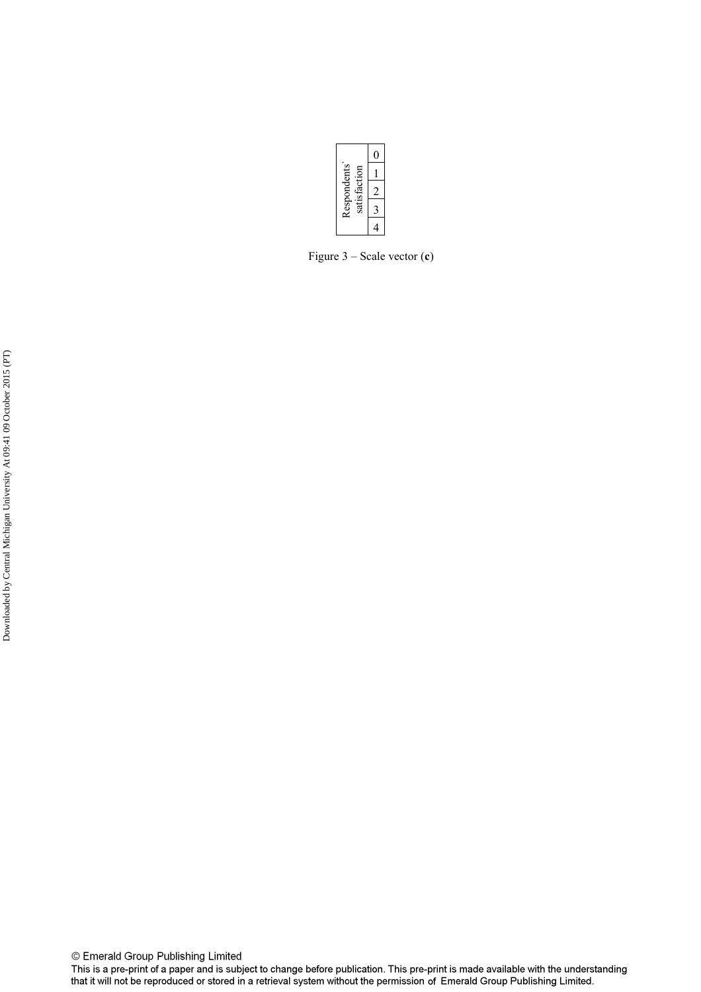

Figure 3 – Scale vector (**c**)

© Emerald Group Publishing Limited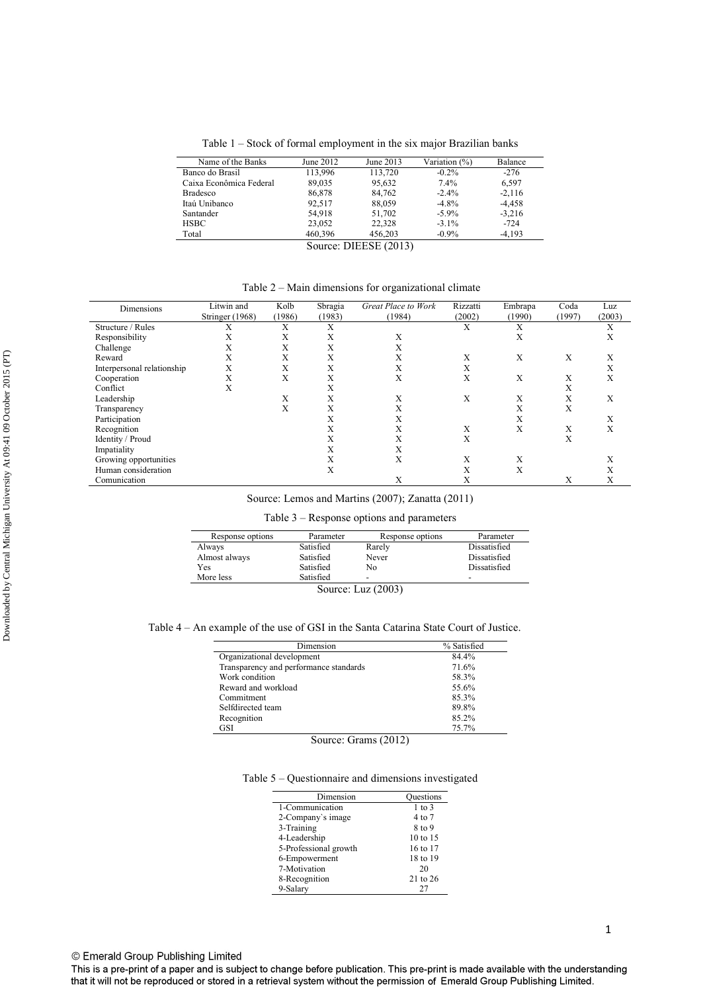Table 1 – Stock of formal employment in the six major Brazilian banks

| Name of the Banks       | June 2012 | June 2013 | Variation (%) | Balance  |  |
|-------------------------|-----------|-----------|---------------|----------|--|
| Banco do Brasil         | 113,996   | 113,720   | $-0.2\%$      | $-276$   |  |
| Caixa Econômica Federal | 89,035    | 95,632    | 7.4%          | 6,597    |  |
| <b>Bradesco</b>         | 86,878    | 84,762    | $-2.4\%$      | $-2.116$ |  |
| Itaú Unibanco           | 92,517    | 88,059    | $-4.8\%$      | $-4.458$ |  |
| Santander               | 54,918    | 51,702    | $-5.9\%$      | $-3,216$ |  |
| <b>HSBC</b>             | 23,052    | 22,328    | $-3.1\%$      | $-724$   |  |
| Total                   | 460,396   | 456,203   | $-0.9\%$      | $-4.193$ |  |
| Source: DIEESE (2013)   |           |           |               |          |  |

Table 2 – Main dimensions for organizational climate

|                            | Litwin and      | Kolb   | Sbragia | Great Place to Work | Rizzatti | Embrapa | Coda   | Luz    |
|----------------------------|-----------------|--------|---------|---------------------|----------|---------|--------|--------|
| Dimensions                 | Stringer (1968) | (1986) | (1983)  | (1984)              | (2002)   | (1990)  | (1997) | (2003) |
| Structure / Rules          | $\lambda$       | Х      | Х       |                     | X        | Х       |        | X      |
| Responsibility             | A               | Х      | Х       | X                   |          | Х       |        | X      |
| Challenge                  |                 | Х      | л       |                     |          |         |        |        |
| Reward                     | Х               | Х      | X       | X                   | Х        | X       | Х      | X      |
| Interpersonal relationship | Х               | Х      | X       |                     | Х        |         |        | Х      |
| Cooperation                | X               | X      | X       | Х                   | Х        | X       | Х      | Х      |
| Conflict                   | X               |        | X       |                     |          |         | Х      |        |
| Leadership                 |                 | X      | X       | X                   | Х        | Х       | Х      | х      |
| Transparency               |                 | X      | X       |                     |          | Х       | Х      |        |
| Participation              |                 |        | л       | л                   |          | X       |        | л      |
| Recognition                |                 |        |         | $\lambda$           | Х        | Х       | Х      | X      |
| Identity / Proud           |                 |        | л       | $\lambda$           | X        |         | Х      |        |
| Impatiality                |                 |        |         | л                   |          |         |        |        |
| Growing opportunities      |                 |        |         | X                   | Х        | Х       |        |        |
| Human consideration        |                 |        | X       |                     | X        | X       |        |        |
| Comunication               |                 |        |         | X                   | л        |         | Х      | л      |

Source: Lemos and Martins (2007); Zanatta (2011)

Table 3 – Response options and parameters

| Response options     | Parameter | Response options | Parameter                |  |  |  |
|----------------------|-----------|------------------|--------------------------|--|--|--|
| Always               | Satisfied | Rarely           | Dissatisfied             |  |  |  |
| Almost always        | Satisfied | Never            | Dissatisfied             |  |  |  |
| Yes                  | Satisfied | No               | Dissatisfied             |  |  |  |
| More less            | Satisfied | -                | $\overline{\phantom{a}}$ |  |  |  |
| Source: Luz $(2003)$ |           |                  |                          |  |  |  |

Table 4 – An example of the use of GSI in the Santa Catarina State Court of Justice.

| Dimension                              | % Satisfied |
|----------------------------------------|-------------|
| Organizational development             | 84.4%       |
| Transparency and performance standards | 71.6%       |
| Work condition                         | 58.3%       |
| Reward and workload                    | 55.6%       |
| Commitment                             | 85.3%       |
| Selfdirected team                      | 89.8%       |
| Recognition                            | $85.2\%$    |
| GSI                                    | 75.7%       |

Source: Grams (2012)

Table 5 – Questionnaire and dimensions investigated

| Dimension             | Ouestions  |
|-----------------------|------------|
| 1-Communication       | $1$ to $3$ |
| 2-Company's image     | 4 to 7     |
| 3-Training            | 8 to 9     |
| 4-Leadership          | 10 to 15   |
| 5-Professional growth | 16 to 17   |
| 6-Empowerment         | 18 to 19   |
| 7-Motivation          | 20         |
| 8-Recognition         | 21 to 26   |
| 9-Salary              | 27         |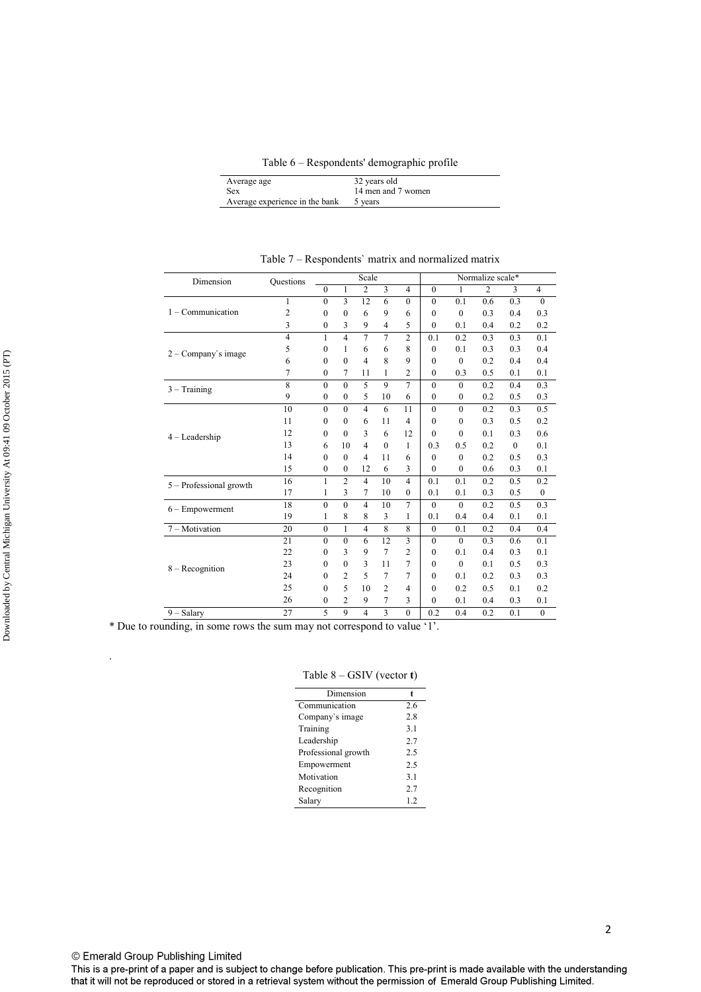Table 6 – Respondents' demographic profile

| Average age                    | 32 years old       |
|--------------------------------|--------------------|
| <b>Sex</b>                     | 14 men and 7 women |
| Average experience in the bank | 5 years            |

| Dimension                 | <b>Ouestions</b> |              |                | Scale          |                         |                |              |              | Normalize scale* |          |                  |
|---------------------------|------------------|--------------|----------------|----------------|-------------------------|----------------|--------------|--------------|------------------|----------|------------------|
|                           |                  | $\theta$     | 1              | $\overline{2}$ | $\overline{\mathbf{3}}$ | $\overline{4}$ | $\theta$     | 1            | $\overline{2}$   | 3        | $\overline{4}$   |
|                           | $\mathbf{1}$     | $\theta$     | $\overline{3}$ | 12             | 6                       | $\theta$       | $\theta$     | 0.1          | 0.6              | 0.3      | $\theta$         |
| $1 -$ Communication       | $\overline{2}$   | $\theta$     | $\theta$       | 6              | 9                       | 6              | $\theta$     | $\mathbf{0}$ | 0.3              | 0.4      | 0.3              |
|                           | 3                | $\mathbf{0}$ | 3              | 9              | $\overline{4}$          | 5              | $\theta$     | 0.1          | 0.4              | 0.2      | 0.2              |
|                           | $\overline{4}$   | 1            | $\overline{4}$ | $\overline{7}$ | $\overline{7}$          | $\overline{2}$ | 0.1          | 0.2          | 0.3              | 0.3      | 0.1              |
| $2 - Company's image$     | 5                | $\theta$     | 1              | 6              | 6                       | 8              | $\theta$     | 0.1          | 0.3              | 0.3      | 0.4              |
|                           | 6                | $\theta$     | $\theta$       | $\overline{4}$ | 8                       | 9              | $\Omega$     | $\theta$     | 0.2              | 0.4      | 0.4              |
|                           | $\overline{7}$   | $\theta$     | 7              | 11             | 1                       | $\overline{2}$ | $\theta$     | 0.3          | 0.5              | 0.1      | 0.1              |
| $3 - Training$            | 8                | $\theta$     | $\theta$       | $\overline{5}$ | 9                       | $\overline{7}$ | $\theta$     | $\mathbf{0}$ | 0.2              | 0.4      | 0.3              |
|                           | 9                | $\mathbf{0}$ | $\mathbf{0}$   | 5              | 10                      | 6              | $\mathbf{0}$ | $\mathbf{0}$ | 0.2              | 0.5      | 0.3              |
|                           | 10               | $\theta$     | $\theta$       | $\overline{4}$ | 6                       | 11             | $\theta$     | $\mathbf{0}$ | 0.2              | 0.3      | 0.5              |
|                           | 11               | $\theta$     | $\theta$       | 6              | 11                      | $\overline{4}$ | $\theta$     | $\mathbf{0}$ | 0.3              | 0.5      | 0.2              |
| $4 -$ Leadership          | 12               | $\theta$     | $\theta$       | 3              | 6                       | 12             | $\theta$     | $\mathbf{0}$ | 0.1              | 0.3      | 0.6              |
|                           | 13               | 6            | 10             | $\overline{4}$ | $\mathbf{0}$            | 1              | 0.3          | 0.5          | 0.2              | $\theta$ | 0.1              |
|                           | 14               | $\Omega$     | $\theta$       | $\overline{4}$ | 11                      | 6              | $\theta$     | $\mathbf{0}$ | 0.2              | 0.5      | 0.3              |
|                           | 15               | $\theta$     | $\mathbf{0}$   | 12             | 6                       | 3              | $\theta$     | $\mathbf{0}$ | 0.6              | 0.3      | 0.1              |
| $5 -$ Professional growth | 16               | 1            | $\overline{2}$ | $\overline{4}$ | 10                      | $\overline{4}$ | 0.1          | 0.1          | 0.2              | 0.5      | 0.2              |
|                           | 17               | $\mathbf{1}$ | 3              | $\overline{7}$ | 10                      | $\mathbf{0}$   | 0.1          | 0.1          | 0.3              | 0.5      | $\boldsymbol{0}$ |
| $6 -$ Empowerment         | 18               | $\mathbf{0}$ | $\mathbf{0}$   | $\overline{4}$ | 10                      | $\overline{7}$ | $\mathbf{0}$ | $\mathbf{0}$ | 0.2              | 0.5      | 0.3              |
|                           | 19               | 1            | 8              | 8              | 3                       | 1              | 0.1          | 0.4          | 0.4              | 0.1      | 0.1              |
| 7 - Motivation            | 20               | $\theta$     | $\mathbf{1}$   | $\overline{4}$ | 8                       | 8              | $\theta$     | 0.1          | 0.2              | 0.4      | 0.4              |
|                           | 21               | $\theta$     | $\mathbf{0}$   | 6              | 12                      | 3              | $\theta$     | $\theta$     | 0.3              | 0.6      | 0.1              |
|                           | 22               | $\theta$     | 3              | 9              | $\overline{7}$          | $\overline{2}$ | $\theta$     | 0.1          | 0.4              | 0.3      | 0.1              |
| $8 - Reognition$          | 23               | $\theta$     | $\mathbf{0}$   | 3              | 11                      | 7              | $\theta$     | $\mathbf{0}$ | 0.1              | 0.5      | 0.3              |
|                           | 24               | $\Omega$     | $\overline{c}$ | 5              | 7                       | 7              | $\theta$     | 0.1          | 0.2              | 0.3      | 0.3              |
|                           | 25               | $\theta$     | 5              | 10             | $\overline{2}$          | $\overline{4}$ | $\theta$     | 0.2          | 0.5              | 0.1      | 0.2              |
|                           | 26               | $\Omega$     | $\overline{c}$ | 9              | 7                       | 3              | $\theta$     | 0.1          | 0.4              | 0.3      | 0.1              |
| $9 - Salary$              | 27               | 5            | 9              | $\overline{4}$ | 3                       | $\theta$       | 0.2          | 0.4          | 0.2              | 0.1      | $\mathbf{0}$     |

Table 7 – Respondents` matrix and normalized matrix

\* Due to rounding, in some rows the sum may not correspond to value '1'.

Table 8 – GSIV (vector **t**)

| Dimension           | t   |
|---------------------|-----|
| Communication       | 2.6 |
| Company's image     | 2.8 |
| Training            | 3.1 |
| Leadership          | 2.7 |
| Professional growth | 2.5 |
| Empowerment         | 2.5 |
| Motivation          | 3.1 |
| Recognition         | 2.7 |
| Salary              | 1.2 |
|                     |     |

.